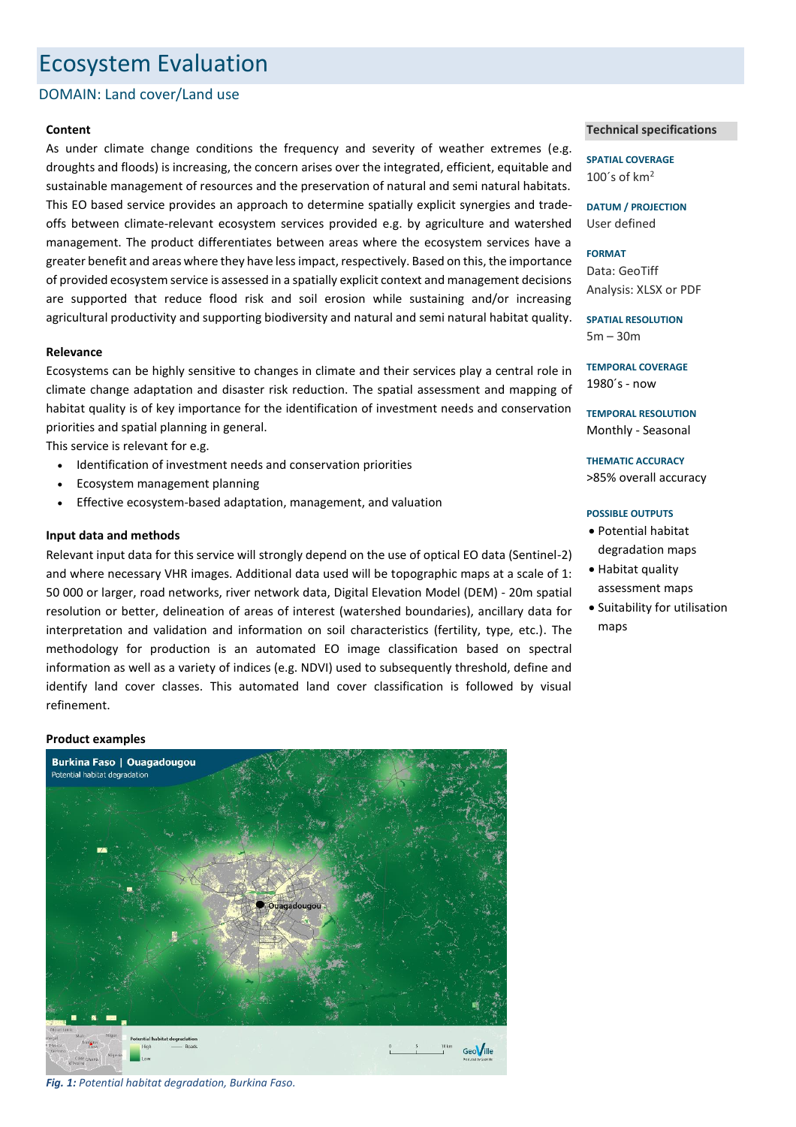# Ecosystem Evaluation

# DOMAIN: Land cover/Land use

# **Content**

As under climate change conditions the frequency and severity of weather extremes (e.g. droughts and floods) is increasing, the concern arises over the integrated, efficient, equitable and sustainable management of resources and the preservation of natural and semi natural habitats. This EO based service provides an approach to determine spatially explicit synergies and tradeoffs between climate-relevant ecosystem services provided e.g. by agriculture and watershed management. The product differentiates between areas where the ecosystem services have a greater benefit and areas where they have less impact, respectively. Based on this, the importance of provided ecosystem service is assessed in a spatially explicit context and management decisions are supported that reduce flood risk and soil erosion while sustaining and/or increasing agricultural productivity and supporting biodiversity and natural and semi natural habitat quality.

# **Relevance**

Ecosystems can be highly sensitive to changes in climate and their services play a central role in climate change adaptation and disaster risk reduction. The spatial assessment and mapping of habitat quality is of key importance for the identification of investment needs and conservation priorities and spatial planning in general.

This service is relevant for e.g.

- Identification of investment needs and conservation priorities
- Ecosystem management planning
- Effective ecosystem-based adaptation, management, and valuation

#### **Input data and methods**

Relevant input data for this service will strongly depend on the use of optical EO data (Sentinel-2) and where necessary VHR images. Additional data used will be topographic maps at a scale of 1: 50 000 or larger, road networks, river network data, Digital Elevation Model (DEM) - 20m spatial resolution or better, delineation of areas of interest (watershed boundaries), ancillary data for interpretation and validation and information on soil characteristics (fertility, type, etc.). The methodology for production is an automated EO image classification based on spectral information as well as a variety of indices (e.g. NDVI) used to subsequently threshold, define and identify land cover classes. This automated land cover classification is followed by visual refinement.

#### **Product examples**



*Fig. 1: Potential habitat degradation, Burkina Faso.*

### **Technical specifications**

**SPATIAL COVERAGE** 100 $\degree$ s of km<sup>2</sup>

**DATUM / PROJECTION** User defined

**FORMAT** Data: GeoTiff Analysis: XLSX or PDF

**SPATIAL RESOLUTION** 5m – 30m

**TEMPORAL COVERAGE** 1980´s - now

**TEMPORAL RESOLUTION** Monthly - Seasonal

**THEMATIC ACCURACY** >85% overall accuracy

#### **POSSIBLE OUTPUTS**

- Potential habitat degradation maps
- Habitat quality assessment maps
- Suitability for utilisation maps